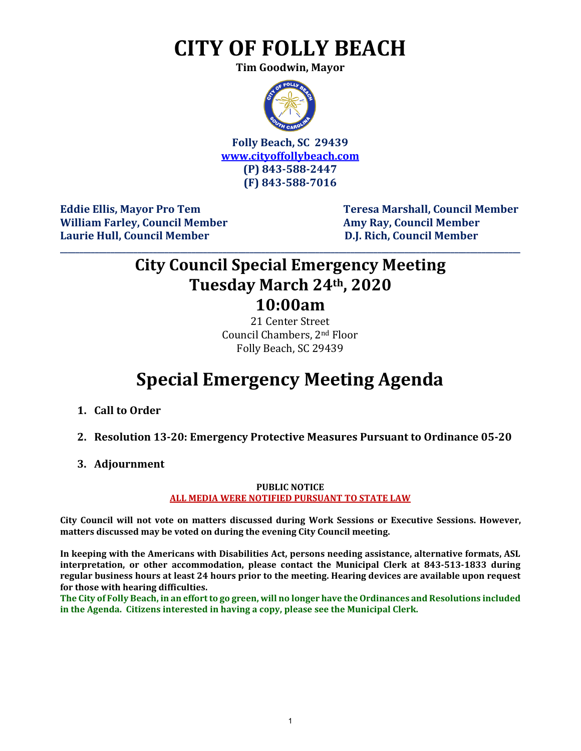## **CITY OF FOLLY BEACH**

**Tim Goodwin, Mayor**



**Folly Beach, SC 29439 [www.cityoffollybeach.com](http://www.cityoffollybeach.com/) (P) 843-588-2447 (F) 843-588-7016**

William Farley, Council Member **Amy Ray, Council Member** Amy Ray, Council Member **Laurie Hull, Council Member D.J. Rich, Council Member**

Eddie Ellis, Mayor Pro Tem Teresa Marshall, Council Member

### **City Council Special Emergency Meeting Tuesday March 24th, 2020 10:00am**

**\_\_\_\_\_\_\_\_\_\_\_\_\_\_\_\_\_\_\_\_\_\_\_\_\_\_\_\_\_\_\_\_\_\_\_\_\_\_\_\_\_\_\_\_\_\_\_\_\_\_\_\_\_\_\_\_\_\_\_\_\_\_\_\_\_\_\_\_\_\_\_\_\_\_\_\_\_\_\_\_\_\_\_\_\_\_\_\_\_\_\_\_\_\_\_\_\_\_\_\_\_\_\_\_\_\_\_\_\_\_\_\_\_\_\_\_\_\_\_**

21 Center Street Council Chambers, 2nd Floor Folly Beach, SC 29439

## **Special Emergency Meeting Agenda**

- **1. Call to Order**
- **2. Resolution 13-20: Emergency Protective Measures Pursuant to Ordinance 05-20**
- **3. Adjournment**

#### **PUBLIC NOTICE ALL MEDIA WERE NOTIFIED PURSUANT TO STATE LAW**

**City Council will not vote on matters discussed during Work Sessions or Executive Sessions. However, matters discussed may be voted on during the evening City Council meeting.** 

**In keeping with the Americans with Disabilities Act, persons needing assistance, alternative formats, ASL interpretation, or other accommodation, please contact the Municipal Clerk at 843-513-1833 during regular business hours at least 24 hours prior to the meeting. Hearing devices are available upon request for those with hearing difficulties.**

**The City of Folly Beach, in an effort to go green, will no longer have the Ordinances and Resolutions included in the Agenda. Citizens interested in having a copy, please see the Municipal Clerk.**